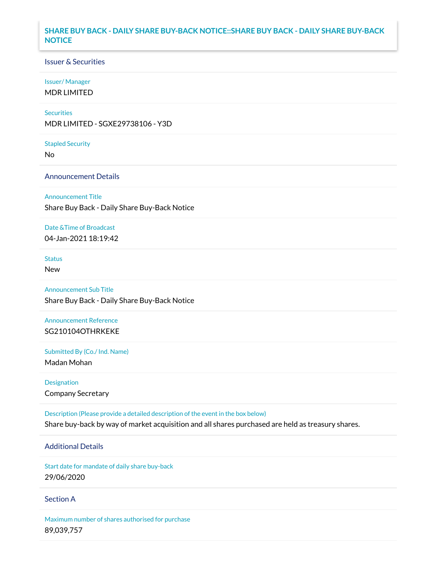## **SHARE BUY BACK - DAILY SHARE BUY-BACK NOTICE::SHARE BUY BACK - DAILY SHARE BUY-BACK NOTICE**

## Issuer & Securities

### Issuer/ Manager

MDR LIMITED

### **Securities**

MDR LIMITED - SGXE29738106 - Y3D

#### Stapled Security

No

## Announcement Details

### Announcement Title

Share Buy Back - Daily Share Buy-Back Notice

### Date &Time of Broadcast

04-Jan-2021 18:19:42

# Status

New

# Announcement Sub Title

Share Buy Back - Daily Share Buy-Back Notice

# Announcement Reference SG210104OTHRKEKE

Submitted By (Co./ Ind. Name)

Madan Mohan

Designation Company Secretary

Description (Please provide a detailed description of the event in the box below) Share buy-back by way of market acquisition and all shares purchased are held as treasury shares.

# Additional Details

Start date for mandate of daily share buy-back 29/06/2020

## Section A

Maximum number of shares authorised for purchase 89,039,757